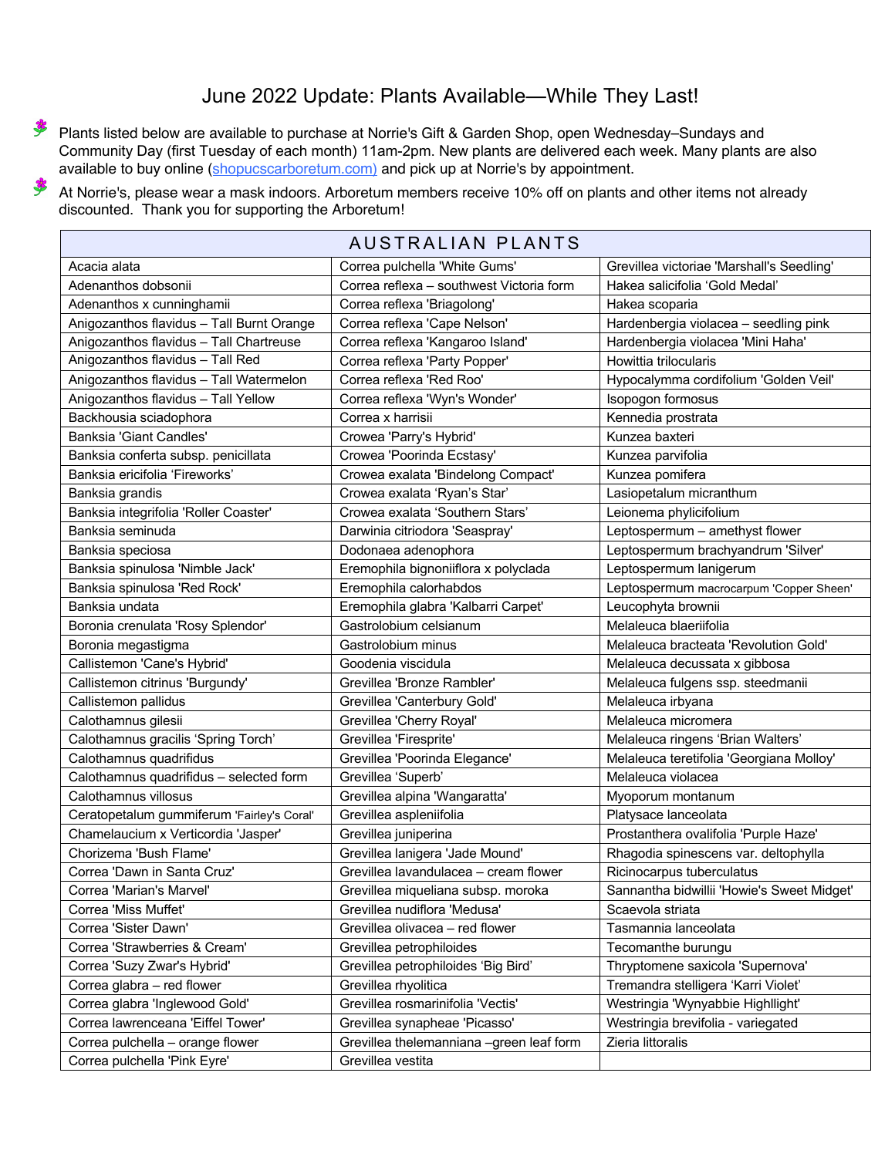## June 2022 Update: Plants Available—While They Last!

\$ Plants listed below are available to purchase at Norrie's Gift & Garden Shop, open Wednesday–Sundays and Community Day (first Tuesday of each month) 11am-2pm. New plants are delivered each week. Many plants are also available to buy online (shopucscarboretum.com) and pick up at Norrie's by appointment.

\$ At Norrie's, please wear a mask indoors. Arboretum members receive 10% off on plants and other items not already discounted. Thank you for supporting the Arboretum!

| <b>AUSTRALIAN PLANTS</b>                   |                                          |                                            |  |  |
|--------------------------------------------|------------------------------------------|--------------------------------------------|--|--|
| Acacia alata                               | Correa pulchella 'White Gums'            | Grevillea victoriae 'Marshall's Seedling'  |  |  |
| Adenanthos dobsonii                        | Correa reflexa - southwest Victoria form | Hakea salicifolia 'Gold Medal'             |  |  |
| Adenanthos x cunninghamii                  | Correa reflexa 'Briagolong'              | Hakea scoparia                             |  |  |
| Anigozanthos flavidus - Tall Burnt Orange  | Correa reflexa 'Cape Nelson'             | Hardenbergia violacea - seedling pink      |  |  |
| Anigozanthos flavidus - Tall Chartreuse    | Correa reflexa 'Kangaroo Island'         | Hardenbergia violacea 'Mini Haha'          |  |  |
| Anigozanthos flavidus - Tall Red           | Correa reflexa 'Party Popper'            | Howittia trilocularis                      |  |  |
| Anigozanthos flavidus - Tall Watermelon    | Correa reflexa 'Red Roo'                 | Hypocalymma cordifolium 'Golden Veil'      |  |  |
| Anigozanthos flavidus - Tall Yellow        | Correa reflexa 'Wyn's Wonder'            | Isopogon formosus                          |  |  |
| Backhousia sciadophora                     | Correa x harrisii                        | Kennedia prostrata                         |  |  |
| Banksia 'Giant Candles'                    | Crowea 'Parry's Hybrid'                  | Kunzea baxteri                             |  |  |
| Banksia conferta subsp. penicillata        | Crowea 'Poorinda Ecstasy'                | Kunzea parvifolia                          |  |  |
| Banksia ericifolia 'Fireworks'             | Crowea exalata 'Bindelong Compact'       | Kunzea pomifera                            |  |  |
| Banksia grandis                            | Crowea exalata 'Ryan's Star'             | Lasiopetalum micranthum                    |  |  |
| Banksia integrifolia 'Roller Coaster'      | Crowea exalata 'Southern Stars'          | Leionema phylicifolium                     |  |  |
| Banksia seminuda                           | Darwinia citriodora 'Seaspray'           | Leptospermum - amethyst flower             |  |  |
| Banksia speciosa                           | Dodonaea adenophora                      | Leptospermum brachyandrum 'Silver'         |  |  |
| Banksia spinulosa 'Nimble Jack'            | Eremophila bignoniiflora x polyclada     | Leptospermum lanigerum                     |  |  |
| Banksia spinulosa 'Red Rock'               | Eremophila calorhabdos                   | Leptospermum macrocarpum 'Copper Sheen'    |  |  |
| Banksia undata                             | Eremophila glabra 'Kalbarri Carpet'      | Leucophyta brownii                         |  |  |
| Boronia crenulata 'Rosy Splendor'          | Gastrolobium celsianum                   | Melaleuca blaeriifolia                     |  |  |
| Boronia megastigma                         | Gastrolobium minus                       | Melaleuca bracteata 'Revolution Gold'      |  |  |
| Callistemon 'Cane's Hybrid'                | Goodenia viscidula                       | Melaleuca decussata x gibbosa              |  |  |
| Callistemon citrinus 'Burgundy'            | Grevillea 'Bronze Rambler'               | Melaleuca fulgens ssp. steedmanii          |  |  |
| Callistemon pallidus                       | Grevillea 'Canterbury Gold'              | Melaleuca irbyana                          |  |  |
| Calothamnus gilesii                        | Grevillea 'Cherry Royal'                 | Melaleuca micromera                        |  |  |
| Calothamnus gracilis 'Spring Torch'        | Grevillea 'Firesprite'                   | Melaleuca ringens 'Brian Walters'          |  |  |
| Calothamnus quadrifidus                    | Grevillea 'Poorinda Elegance'            | Melaleuca teretifolia 'Georgiana Molloy'   |  |  |
| Calothamnus quadrifidus - selected form    | Grevillea 'Superb'                       | Melaleuca violacea                         |  |  |
| Calothamnus villosus                       | Grevillea alpina 'Wangaratta'            | Myoporum montanum                          |  |  |
| Ceratopetalum gummiferum 'Fairley's Coral' | Grevillea aspleniifolia                  | Platysace lanceolata                       |  |  |
| Chamelaucium x Verticordia 'Jasper'        | Grevillea juniperina                     | Prostanthera ovalifolia 'Purple Haze'      |  |  |
| Chorizema 'Bush Flame'                     | Grevillea lanigera 'Jade Mound'          | Rhagodia spinescens var. deltophylla       |  |  |
| Correa 'Dawn in Santa Cruz'                | Grevillea lavandulacea - cream flower    | Ricinocarpus tuberculatus                  |  |  |
| Correa 'Marian's Marvel'                   | Grevillea miqueliana subsp. moroka       | Sannantha bidwillii 'Howie's Sweet Midget' |  |  |
| Correa 'Miss Muffet'                       | Grevillea nudiflora 'Medusa'             | Scaevola striata                           |  |  |
| Correa 'Sister Dawn'                       | Grevillea olivacea - red flower          | Tasmannia lanceolata                       |  |  |
| Correa 'Strawberries & Cream'              | Grevillea petrophiloides                 | Tecomanthe burungu                         |  |  |
| Correa 'Suzy Zwar's Hybrid'                | Grevillea petrophiloides 'Big Bird'      | Thryptomene saxicola 'Supernova'           |  |  |
| Correa glabra - red flower                 | Grevillea rhyolitica                     | Tremandra stelligera 'Karri Violet'        |  |  |
| Correa glabra 'Inglewood Gold'             | Grevillea rosmarinifolia 'Vectis'        | Westringia 'Wynyabbie Highllight'          |  |  |
| Correa lawrenceana 'Eiffel Tower'          | Grevillea synapheae 'Picasso'            | Westringia brevifolia - variegated         |  |  |
| Correa pulchella - orange flower           | Grevillea thelemanniana -green leaf form | Zieria littoralis                          |  |  |
| Correa pulchella 'Pink Eyre'               | Grevillea vestita                        |                                            |  |  |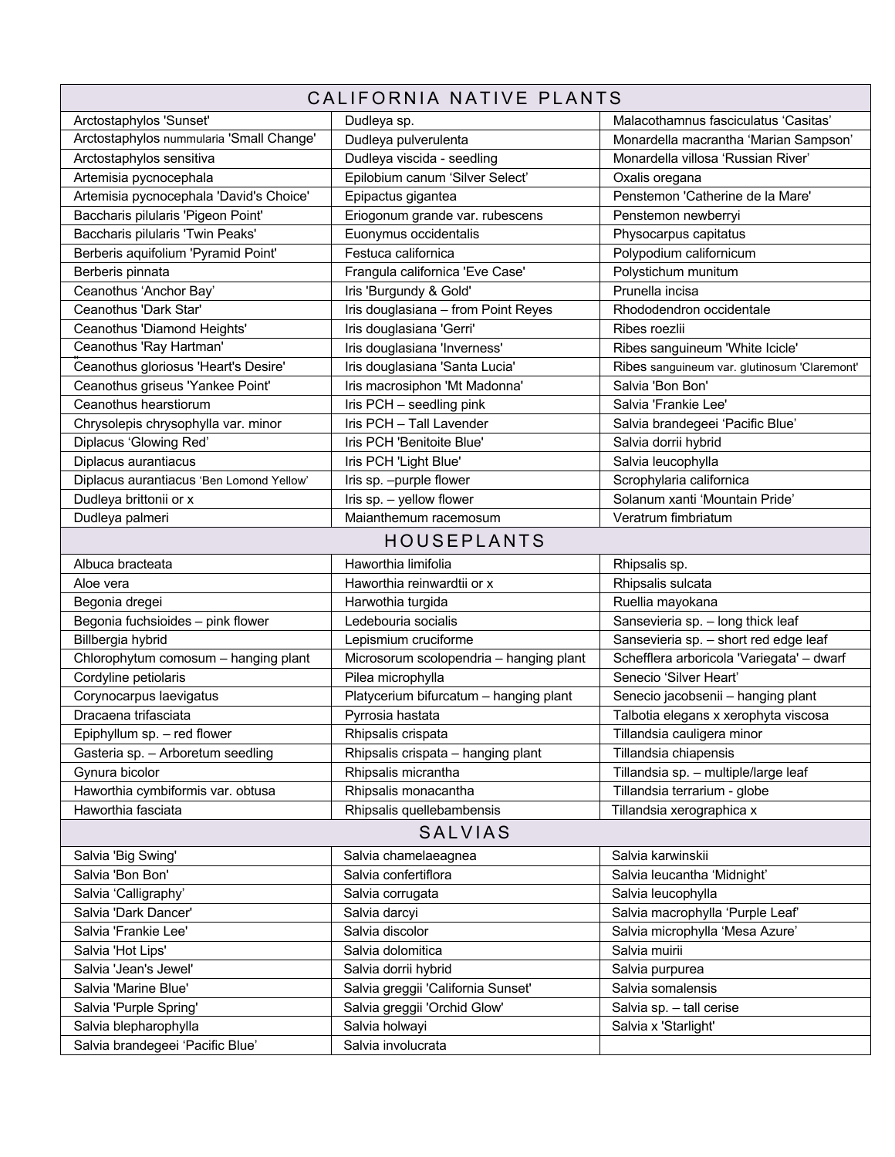| CALIFORNIA NATIVE PLANTS                 |                                         |                                              |  |  |
|------------------------------------------|-----------------------------------------|----------------------------------------------|--|--|
| Arctostaphylos 'Sunset'                  | Dudleya sp.                             | Malacothamnus fasciculatus 'Casitas'         |  |  |
| Arctostaphylos nummularia 'Small Change' | Dudleya pulverulenta                    | Monardella macrantha 'Marian Sampson'        |  |  |
| Arctostaphylos sensitiva                 | Dudleya viscida - seedling              | Monardella villosa 'Russian River'           |  |  |
| Artemisia pycnocephala                   | Epilobium canum 'Silver Select'         | Oxalis oregana                               |  |  |
| Artemisia pycnocephala 'David's Choice'  | Epipactus gigantea                      | Penstemon 'Catherine de la Mare'             |  |  |
| Baccharis pilularis 'Pigeon Point'       | Eriogonum grande var. rubescens         | Penstemon newberryi                          |  |  |
| Baccharis pilularis 'Twin Peaks'         | Euonymus occidentalis                   | Physocarpus capitatus                        |  |  |
| Berberis aquifolium 'Pyramid Point'      | Festuca californica                     | Polypodium californicum                      |  |  |
| Berberis pinnata                         | Frangula californica 'Eve Case'         | Polystichum munitum                          |  |  |
| Ceanothus 'Anchor Bay'                   | Iris 'Burgundy & Gold'                  | Prunella incisa                              |  |  |
| Ceanothus 'Dark Star'                    | Iris douglasiana - from Point Reyes     | Rhododendron occidentale                     |  |  |
| Ceanothus 'Diamond Heights'              | Iris douglasiana 'Gerri'                | Ribes roezlii                                |  |  |
| Ceanothus 'Ray Hartman'                  | Iris douglasiana 'Inverness'            | Ribes sanguineum 'White Icicle'              |  |  |
| Ceanothus gloriosus 'Heart's Desire'     | Iris douglasiana 'Santa Lucia'          | Ribes sanguineum var. glutinosum 'Claremont' |  |  |
| Ceanothus griseus 'Yankee Point'         | Iris macrosiphon 'Mt Madonna'           | Salvia 'Bon Bon'                             |  |  |
| Ceanothus hearstiorum                    | Iris PCH - seedling pink                | Salvia 'Frankie Lee'                         |  |  |
| Chrysolepis chrysophylla var. minor      | Iris PCH - Tall Lavender                | Salvia brandegeei 'Pacific Blue'             |  |  |
| Diplacus 'Glowing Red'                   | Iris PCH 'Benitoite Blue'               | Salvia dorrii hybrid                         |  |  |
| Diplacus aurantiacus                     | Iris PCH 'Light Blue'                   | Salvia leucophylla                           |  |  |
| Diplacus aurantiacus 'Ben Lomond Yellow' | Iris sp. - purple flower                | Scrophylaria californica                     |  |  |
| Dudleya brittonii or x                   | Iris sp. - yellow flower                | Solanum xanti 'Mountain Pride'               |  |  |
| Dudleya palmeri                          | Maianthemum racemosum                   | Veratrum fimbriatum                          |  |  |
|                                          | <b>HOUSEPLANTS</b>                      |                                              |  |  |
| Albuca bracteata                         | Haworthia limifolia                     | Rhipsalis sp.                                |  |  |
| Aloe vera                                | Haworthia reinwardtii or x              | Rhipsalis sulcata                            |  |  |
| Begonia dregei                           | Harwothia turgida                       | Ruellia mayokana                             |  |  |
| Begonia fuchsioides - pink flower        | Ledebouria socialis                     | Sansevieria sp. - long thick leaf            |  |  |
| Billbergia hybrid                        | Lepismium cruciforme                    | Sansevieria sp. - short red edge leaf        |  |  |
| Chlorophytum comosum - hanging plant     | Microsorum scolopendria - hanging plant | Schefflera arboricola 'Variegata' - dwarf    |  |  |
| Cordyline petiolaris                     | Pilea microphylla                       | Senecio 'Silver Heart'                       |  |  |
| Corynocarpus laevigatus                  | Platycerium bifurcatum - hanging plant  | Senecio jacobsenii - hanging plant           |  |  |
| Dracaena trifasciata                     | Pyrrosia hastata                        | Talbotia elegans x xerophyta viscosa         |  |  |
| Epiphyllum sp. - red flower              | Rhipsalis crispata                      | Tillandsia cauligera minor                   |  |  |
| Gasteria sp. - Arboretum seedling        | Rhipsalis crispata - hanging plant      | Tillandsia chiapensis                        |  |  |
| Gynura bicolor                           | Rhipsalis micrantha                     | Tillandsia sp. - multiple/large leaf         |  |  |
| Haworthia cymbiformis var. obtusa        | Rhipsalis monacantha                    | Tillandsia terrarium - globe                 |  |  |
| Haworthia fasciata                       | Rhipsalis quellebambensis               | Tillandsia xerographica x                    |  |  |
| <b>SALVIAS</b>                           |                                         |                                              |  |  |
| Salvia 'Big Swing'                       | Salvia chamelaeagnea                    | Salvia karwinskii                            |  |  |
| Salvia 'Bon Bon'                         | Salvia confertiflora                    | Salvia leucantha 'Midnight'                  |  |  |
| Salvia 'Calligraphy'                     | Salvia corrugata                        | Salvia leucophylla                           |  |  |
| Salvia 'Dark Dancer'                     | Salvia darcyi                           | Salvia macrophylla 'Purple Leaf'             |  |  |
| Salvia 'Frankie Lee'                     | Salvia discolor                         | Salvia microphylla 'Mesa Azure'              |  |  |
| Salvia 'Hot Lips'                        | Salvia dolomitica                       | Salvia muirii                                |  |  |
| Salvia 'Jean's Jewel'                    | Salvia dorrii hybrid                    | Salvia purpurea                              |  |  |
| Salvia 'Marine Blue'                     | Salvia greggii 'California Sunset'      | Salvia somalensis                            |  |  |
| Salvia 'Purple Spring'                   | Salvia greggii 'Orchid Glow'            | Salvia sp. - tall cerise                     |  |  |
| Salvia blepharophylla                    | Salvia holwayi                          | Salvia x 'Starlight'                         |  |  |
| Salvia brandegeei 'Pacific Blue'         | Salvia involucrata                      |                                              |  |  |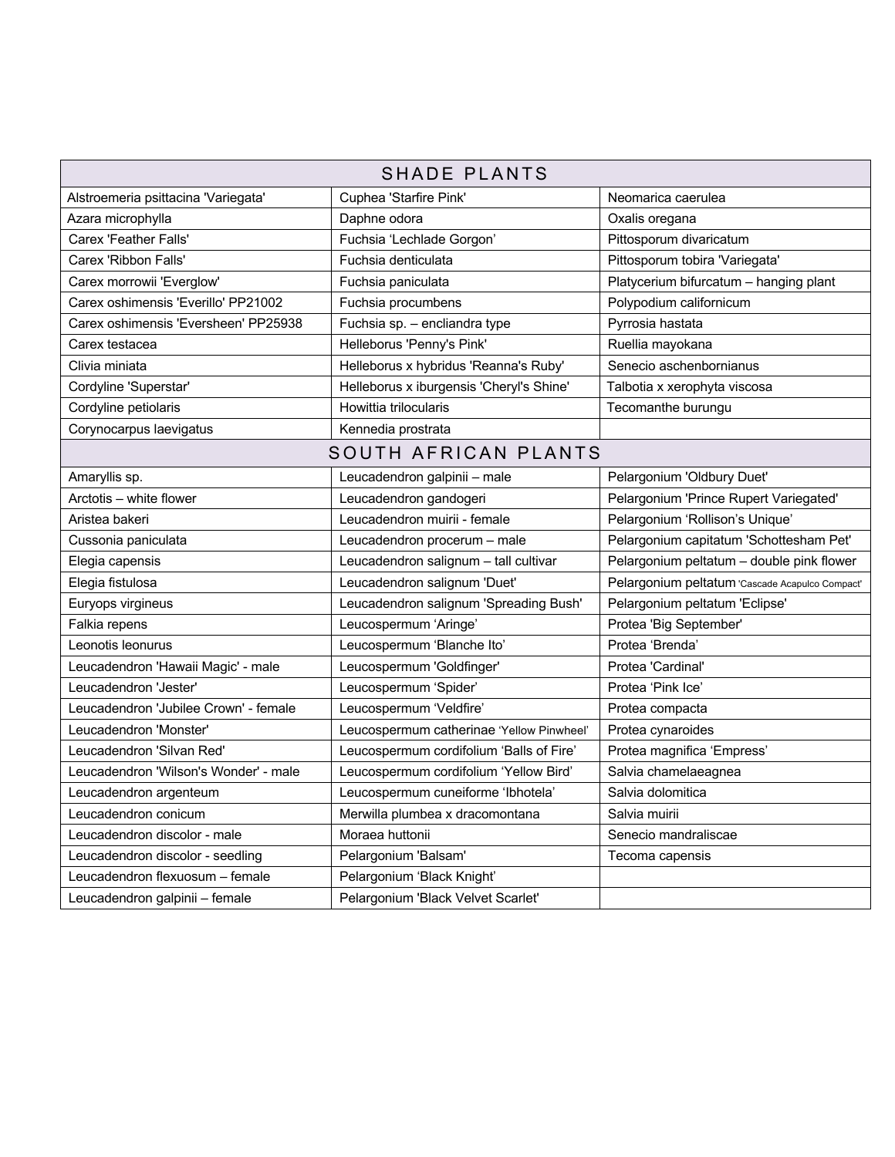| <b>SHADE PLANTS</b>                   |                                           |                                                 |  |  |
|---------------------------------------|-------------------------------------------|-------------------------------------------------|--|--|
| Alstroemeria psittacina 'Variegata'   | Cuphea 'Starfire Pink'                    | Neomarica caerulea                              |  |  |
| Azara microphylla                     | Daphne odora                              | Oxalis oregana                                  |  |  |
| Carex 'Feather Falls'                 | Fuchsia 'Lechlade Gorgon'                 | Pittosporum divaricatum                         |  |  |
| Carex 'Ribbon Falls'                  | Fuchsia denticulata                       | Pittosporum tobira 'Variegata'                  |  |  |
| Carex morrowii 'Everglow'             | Fuchsia paniculata                        | Platycerium bifurcatum - hanging plant          |  |  |
| Carex oshimensis 'Everillo' PP21002   | Fuchsia procumbens                        | Polypodium californicum                         |  |  |
| Carex oshimensis 'Eversheen' PP25938  | Fuchsia sp. - encliandra type             | Pyrrosia hastata                                |  |  |
| Carex testacea                        | Helleborus 'Penny's Pink'                 | Ruellia mayokana                                |  |  |
| Clivia miniata                        | Helleborus x hybridus 'Reanna's Ruby'     | Senecio aschenbornianus                         |  |  |
| Cordyline 'Superstar'                 | Helleborus x iburgensis 'Cheryl's Shine'  | Talbotia x xerophyta viscosa                    |  |  |
| Cordyline petiolaris                  | Howittia trilocularis                     | Tecomanthe burungu                              |  |  |
| Corynocarpus laevigatus               | Kennedia prostrata                        |                                                 |  |  |
|                                       | SOUTH AFRICAN PLANTS                      |                                                 |  |  |
| Amaryllis sp.                         | Leucadendron galpinii - male              | Pelargonium 'Oldbury Duet'                      |  |  |
| Arctotis - white flower               | Leucadendron gandogeri                    | Pelargonium 'Prince Rupert Variegated'          |  |  |
| Aristea bakeri                        | Leucadendron muirii - female              | Pelargonium 'Rollison's Unique'                 |  |  |
| Cussonia paniculata                   | Leucadendron procerum - male              | Pelargonium capitatum 'Schottesham Pet'         |  |  |
| Elegia capensis                       | Leucadendron salignum - tall cultivar     | Pelargonium peltatum - double pink flower       |  |  |
| Elegia fistulosa                      | Leucadendron salignum 'Duet'              | Pelargonium peltatum 'Cascade Acapulco Compact' |  |  |
| Euryops virgineus                     | Leucadendron salignum 'Spreading Bush'    | Pelargonium peltatum 'Eclipse'                  |  |  |
| Falkia repens                         | Leucospermum 'Aringe'                     | Protea 'Big September'                          |  |  |
| Leonotis leonurus                     | Leucospermum 'Blanche Ito'                | Protea 'Brenda'                                 |  |  |
| Leucadendron 'Hawaii Magic' - male    | Leucospermum 'Goldfinger'                 | Protea 'Cardinal'                               |  |  |
| Leucadendron 'Jester'                 | Leucospermum 'Spider'                     | Protea 'Pink Ice'                               |  |  |
| Leucadendron 'Jubilee Crown' - female | Leucospermum 'Veldfire'                   | Protea compacta                                 |  |  |
| Leucadendron 'Monster'                | Leucospermum catherinae 'Yellow Pinwheel' | Protea cynaroides                               |  |  |
| Leucadendron 'Silvan Red'             | Leucospermum cordifolium 'Balls of Fire'  | Protea magnifica 'Empress'                      |  |  |
| Leucadendron 'Wilson's Wonder' - male | Leucospermum cordifolium 'Yellow Bird'    | Salvia chamelaeagnea                            |  |  |
| Leucadendron argenteum                | Leucospermum cuneiforme 'Ibhotela'        | Salvia dolomitica                               |  |  |
| Leucadendron conicum                  | Merwilla plumbea x dracomontana           | Salvia muirii                                   |  |  |
| Leucadendron discolor - male          | Moraea huttonii                           | Senecio mandraliscae                            |  |  |
| Leucadendron discolor - seedling      | Pelargonium 'Balsam'                      | Tecoma capensis                                 |  |  |
| Leucadendron flexuosum – female       | Pelargonium 'Black Knight'                |                                                 |  |  |
| Leucadendron galpinii - female        | Pelargonium 'Black Velvet Scarlet'        |                                                 |  |  |